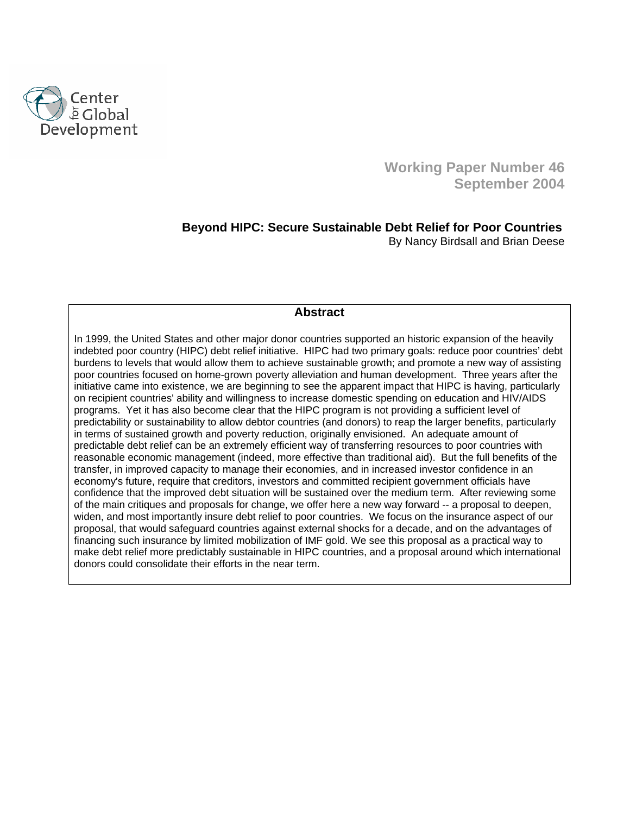

**Working Paper Number 46 September 2004** 

 **Beyond HIPC: Secure Sustainable Debt Relief for Poor Countries** 

By Nancy Birdsall and Brian Deese

### **Abstract**

In 1999, the United States and other major donor countries supported an historic expansion of the heavily indebted poor country (HIPC) debt relief initiative. HIPC had two primary goals: reduce poor countries' debt burdens to levels that would allow them to achieve sustainable growth; and promote a new way of assisting poor countries focused on home-grown poverty alleviation and human development. Three years after the initiative came into existence, we are beginning to see the apparent impact that HIPC is having, particularly on recipient countries' ability and willingness to increase domestic spending on education and HIV/AIDS programs. Yet it has also become clear that the HIPC program is not providing a sufficient level of predictability or sustainability to allow debtor countries (and donors) to reap the larger benefits, particularly in terms of sustained growth and poverty reduction, originally envisioned. An adequate amount of predictable debt relief can be an extremely efficient way of transferring resources to poor countries with reasonable economic management (indeed, more effective than traditional aid). But the full benefits of the transfer, in improved capacity to manage their economies, and in increased investor confidence in an economy's future, require that creditors, investors and committed recipient government officials have confidence that the improved debt situation will be sustained over the medium term. After reviewing some of the main critiques and proposals for change, we offer here a new way forward -- a proposal to deepen, widen, and most importantly insure debt relief to poor countries. We focus on the insurance aspect of our proposal, that would safeguard countries against external shocks for a decade, and on the advantages of financing such insurance by limited mobilization of IMF gold. We see this proposal as a practical way to make debt relief more predictably sustainable in HIPC countries, and a proposal around which international donors could consolidate their efforts in the near term.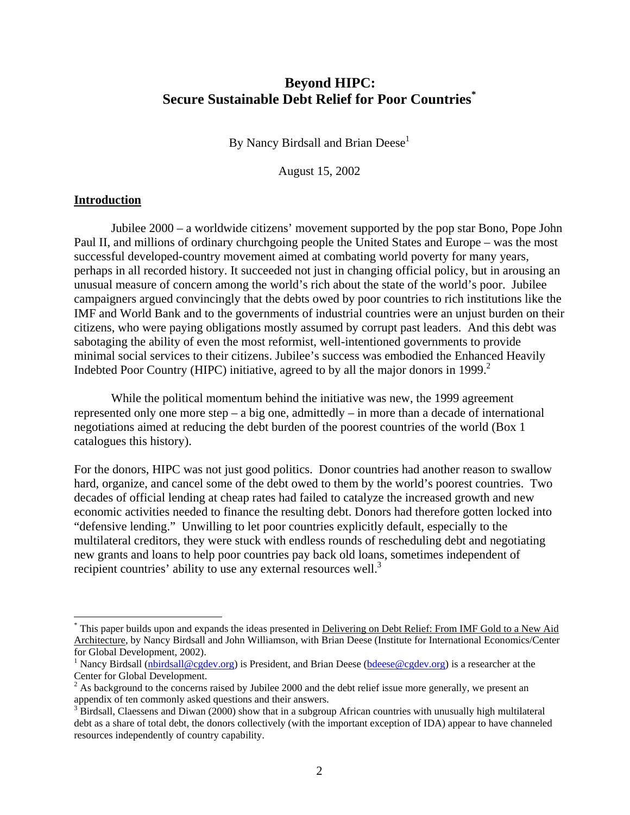# **Beyond HIPC: Secure Sustainable Debt Relief for Poor Countries[\\*](#page-1-0)**

By Nancy Birdsall and Brian Deese<sup>1</sup>

August 15, 2002

#### **Introduction**

 $\overline{a}$ 

Jubilee 2000 – a worldwide citizens' movement supported by the pop star Bono, Pope John Paul II, and millions of ordinary churchgoing people the United States and Europe – was the most successful developed-country movement aimed at combating world poverty for many years, perhaps in all recorded history. It succeeded not just in changing official policy, but in arousing an unusual measure of concern among the world's rich about the state of the world's poor. Jubilee campaigners argued convincingly that the debts owed by poor countries to rich institutions like the IMF and World Bank and to the governments of industrial countries were an unjust burden on their citizens, who were paying obligations mostly assumed by corrupt past leaders. And this debt was sabotaging the ability of even the most reformist, well-intentioned governments to provide minimal social services to their citizens. Jubilee's success was embodied the Enhanced Heavily Indebted Poor Country (HIPC) initiative, agreed to by all the major donors in 1999. $2$ 

While the political momentum behind the initiative was new, the 1999 agreement represented only one more step – a big one, admittedly – in more than a decade of international negotiations aimed at reducing the debt burden of the poorest countries of the world (Box 1 catalogues this history).

For the donors, HIPC was not just good politics. Donor countries had another reason to swallow hard, organize, and cancel some of the debt owed to them by the world's poorest countries. Two decades of official lending at cheap rates had failed to catalyze the increased growth and new economic activities needed to finance the resulting debt. Donors had therefore gotten locked into "defensive lending." Unwilling to let poor countries explicitly default, especially to the multilateral creditors, they were stuck with endless rounds of rescheduling debt and negotiating new grants and loans to help poor countries pay back old loans, sometimes independent of recipient countries' ability to use any external resources well.<sup>[3](#page-1-3)</sup>

<span id="page-1-0"></span><sup>&</sup>lt;sup>\*</sup> This paper builds upon and expands the ideas presented in *Delivering on Debt Relief: From IMF Gold to a New Aid* Architecture, by Nancy Birdsall and John Williamson, with Brian Deese (Institute for International Economics/Center for Global Development, 2002).

<span id="page-1-1"></span><sup>&</sup>lt;sup>1</sup> Nancy Birdsall ([nbirdsall@cgdev.org\)](mailto:nbirdsall@cgdev.org) is President, and Brian Deese ([bdeese@cgdev.org\)](mailto:bdeese@cgdev.org) is a researcher at the Center for Global Development.

<span id="page-1-2"></span><sup>&</sup>lt;sup>2</sup> As background to the concerns raised by Jubilee 2000 and the debt relief issue more generally, we present an

<span id="page-1-3"></span>appendix of ten commonly asked questions and their answers.<br><sup>3</sup> Birdsall, Claessens and Diwan (2000) show that in a subgroup African countries with unusually high multilateral debt as a share of total debt, the donors collectively (with the important exception of IDA) appear to have channeled resources independently of country capability.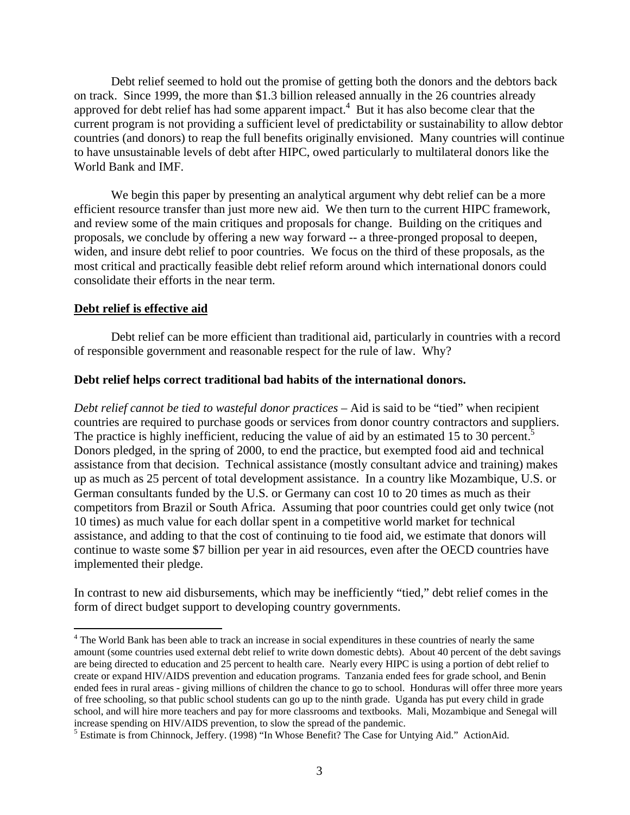Debt relief seemed to hold out the promise of getting both the donors and the debtors back on track. Since 1999, the more than \$1.3 billion released annually in the 26 countries already approved for debt relief has had some apparent impact.<sup>4</sup> But it has also become clear that the current program is not providing a sufficient level of predictability or sustainability to allow debtor countries (and donors) to reap the full benefits originally envisioned. Many countries will continue to have unsustainable levels of debt after HIPC, owed particularly to multilateral donors like the World Bank and IMF.

We begin this paper by presenting an analytical argument why debt relief can be a more efficient resource transfer than just more new aid. We then turn to the current HIPC framework, and review some of the main critiques and proposals for change. Building on the critiques and proposals, we conclude by offering a new way forward -- a three-pronged proposal to deepen, widen, and insure debt relief to poor countries. We focus on the third of these proposals, as the most critical and practically feasible debt relief reform around which international donors could consolidate their efforts in the near term.

#### **Debt relief is effective aid**

1

Debt relief can be more efficient than traditional aid, particularly in countries with a record of responsible government and reasonable respect for the rule of law. Why?

### **Debt relief helps correct traditional bad habits of the international donors.**

*Debt relief cannot be tied to wasteful donor practices* – Aid is said to be "tied" when recipient countries are required to purchase goods or services from donor country contractors and suppliers. The practice is highly inefficient, reducing the value of aid by an estimated 1[5](#page-2-1) to 30 percent.<sup>5</sup> Donors pledged, in the spring of 2000, to end the practice, but exempted food aid and technical assistance from that decision. Technical assistance (mostly consultant advice and training) makes up as much as 25 percent of total development assistance. In a country like Mozambique, U.S. or German consultants funded by the U.S. or Germany can cost 10 to 20 times as much as their competitors from Brazil or South Africa. Assuming that poor countries could get only twice (not 10 times) as much value for each dollar spent in a competitive world market for technical assistance, and adding to that the cost of continuing to tie food aid, we estimate that donors will continue to waste some \$7 billion per year in aid resources, even after the OECD countries have implemented their pledge.

In contrast to new aid disbursements, which may be inefficiently "tied," debt relief comes in the form of direct budget support to developing country governments.

<span id="page-2-0"></span><sup>&</sup>lt;sup>4</sup> The World Bank has been able to track an increase in social expenditures in these countries of nearly the same amount (some countries used external debt relief to write down domestic debts). About 40 percent of the debt savings are being directed to education and 25 percent to health care. Nearly every HIPC is using a portion of debt relief to create or expand HIV/AIDS prevention and education programs. Tanzania ended fees for grade school, and Benin ended fees in rural areas - giving millions of children the chance to go to school. Honduras will offer three more years of free schooling, so that public school students can go up to the ninth grade. Uganda has put every child in grade school, and will hire more teachers and pay for more classrooms and textbooks. Mali, Mozambique and Senegal will increase spending on HIV/AIDS prevention, to slow the spread of the pandemic.

<span id="page-2-1"></span><sup>&</sup>lt;sup>5</sup> Estimate is from Chinnock, Jeffery. (1998) "In Whose Benefit? The Case for Untying Aid." ActionAid.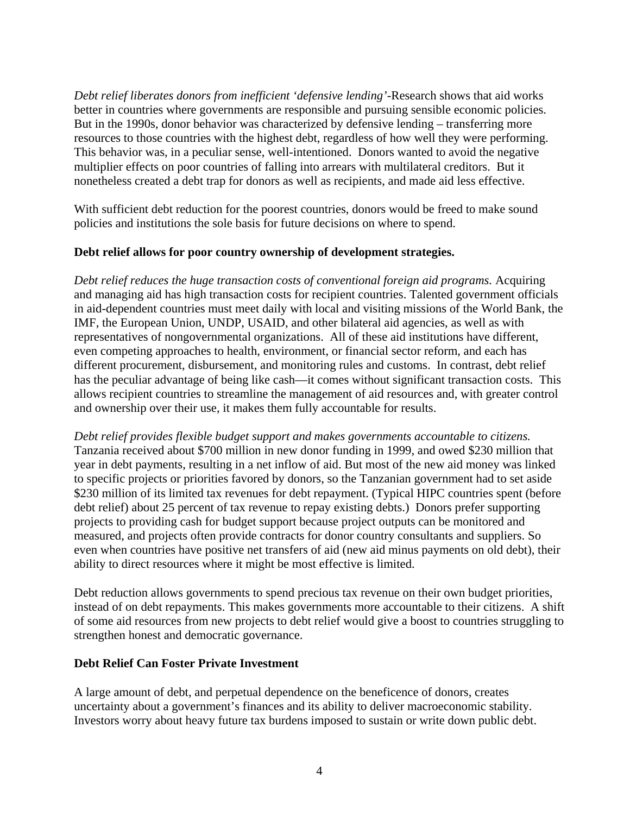*Debt relief liberates donors from inefficient 'defensive lending'-*Research shows that aid works better in countries where governments are responsible and pursuing sensible economic policies. But in the 1990s, donor behavior was characterized by defensive lending – transferring more resources to those countries with the highest debt, regardless of how well they were performing. This behavior was, in a peculiar sense, well-intentioned. Donors wanted to avoid the negative multiplier effects on poor countries of falling into arrears with multilateral creditors. But it nonetheless created a debt trap for donors as well as recipients, and made aid less effective.

With sufficient debt reduction for the poorest countries, donors would be freed to make sound policies and institutions the sole basis for future decisions on where to spend.

## **Debt relief allows for poor country ownership of development strategies.**

*Debt relief reduces the huge transaction costs of conventional foreign aid programs.* Acquiring and managing aid has high transaction costs for recipient countries. Talented government officials in aid-dependent countries must meet daily with local and visiting missions of the World Bank, the IMF, the European Union, UNDP, USAID, and other bilateral aid agencies, as well as with representatives of nongovernmental organizations. All of these aid institutions have different, even competing approaches to health, environment, or financial sector reform, and each has different procurement, disbursement, and monitoring rules and customs. In contrast, debt relief has the peculiar advantage of being like cash—it comes without significant transaction costs. This allows recipient countries to streamline the management of aid resources and, with greater control and ownership over their use, it makes them fully accountable for results.

*Debt relief provides flexible budget support and makes governments accountable to citizens.*  Tanzania received about \$700 million in new donor funding in 1999, and owed \$230 million that year in debt payments, resulting in a net inflow of aid. But most of the new aid money was linked to specific projects or priorities favored by donors, so the Tanzanian government had to set aside \$230 million of its limited tax revenues for debt repayment. (Typical HIPC countries spent (before debt relief) about 25 percent of tax revenue to repay existing debts.) Donors prefer supporting projects to providing cash for budget support because project outputs can be monitored and measured, and projects often provide contracts for donor country consultants and suppliers. So even when countries have positive net transfers of aid (new aid minus payments on old debt), their ability to direct resources where it might be most effective is limited.

Debt reduction allows governments to spend precious tax revenue on their own budget priorities, instead of on debt repayments. This makes governments more accountable to their citizens. A shift of some aid resources from new projects to debt relief would give a boost to countries struggling to strengthen honest and democratic governance.

### **Debt Relief Can Foster Private Investment**

A large amount of debt, and perpetual dependence on the beneficence of donors, creates uncertainty about a government's finances and its ability to deliver macroeconomic stability. Investors worry about heavy future tax burdens imposed to sustain or write down public debt.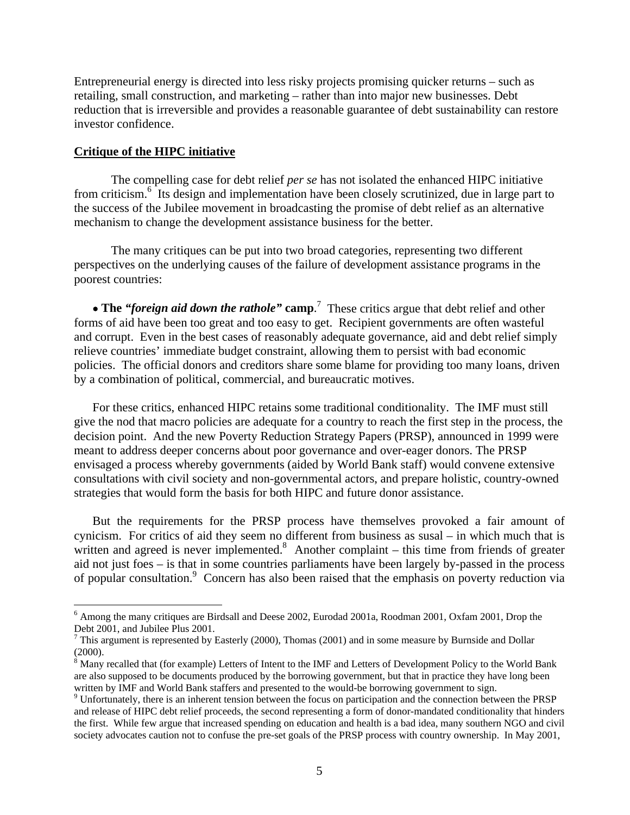Entrepreneurial energy is directed into less risky projects promising quicker returns – such as retailing, small construction, and marketing – rather than into major new businesses. Debt reduction that is irreversible and provides a reasonable guarantee of debt sustainability can restore investor confidence.

#### **Critique of the HIPC initiative**

 $\overline{a}$ 

The compelling case for debt relief *per se* has not isolated the enhanced HIPC initiative from criticism.<sup>[6](#page-4-0)</sup> Its design and implementation have been closely scrutinized, due in large part to the success of the Jubilee movement in broadcasting the promise of debt relief as an alternative mechanism to change the development assistance business for the better.

The many critiques can be put into two broad categories, representing two different perspectives on the underlying causes of the failure of development assistance programs in the poorest countries:

• The *"foreign aid down the rathole"* camp.<sup>[7](#page-4-1)</sup> These critics argue that debt relief and other forms of aid have been too great and too easy to get. Recipient governments are often wasteful and corrupt. Even in the best cases of reasonably adequate governance, aid and debt relief simply relieve countries' immediate budget constraint, allowing them to persist with bad economic policies. The official donors and creditors share some blame for providing too many loans, driven by a combination of political, commercial, and bureaucratic motives.

For these critics, enhanced HIPC retains some traditional conditionality. The IMF must still give the nod that macro policies are adequate for a country to reach the first step in the process, the decision point. And the new Poverty Reduction Strategy Papers (PRSP), announced in 1999 were meant to address deeper concerns about poor governance and over-eager donors. The PRSP envisaged a process whereby governments (aided by World Bank staff) would convene extensive consultations with civil society and non-governmental actors, and prepare holistic, country-owned strategies that would form the basis for both HIPC and future donor assistance.

But the requirements for the PRSP process have themselves provoked a fair amount of cynicism. For critics of aid they seem no different from business as susal – in which much that is written and agreed is never implemented. $8$  Another complaint – this time from friends of greater aid not just foes – is that in some countries parliaments have been largely by-passed in the process of popular consultation.<sup>[9](#page-4-3)</sup> Concern has also been raised that the emphasis on poverty reduction via

<span id="page-4-0"></span><sup>&</sup>lt;sup>6</sup> Among the many critiques are Birdsall and Deese 2002, Eurodad 2001a, Roodman 2001, Oxfam 2001, Drop the Debt 2001, and Jubilee Plus 2001.

<span id="page-4-1"></span> $7$  This argument is represented by Easterly (2000), Thomas (2001) and in some measure by Burnside and Dollar  $(2000).$ 

<span id="page-4-2"></span><sup>&</sup>lt;sup>8</sup> Many recalled that (for example) Letters of Intent to the IMF and Letters of Development Policy to the World Bank are also supposed to be documents produced by the borrowing government, but that in practice they have long been written by IMF and World Bank staffers and presented to the would-be borrowing government to sign.

<span id="page-4-3"></span><sup>&</sup>lt;sup>9</sup> Unfortunately, there is an inherent tension between the focus on participation and the connection between the PRSP and release of HIPC debt relief proceeds, the second representing a form of donor-mandated conditionality that hinders the first. While few argue that increased spending on education and health is a bad idea, many southern NGO and civil society advocates caution not to confuse the pre-set goals of the PRSP process with country ownership. In May 2001,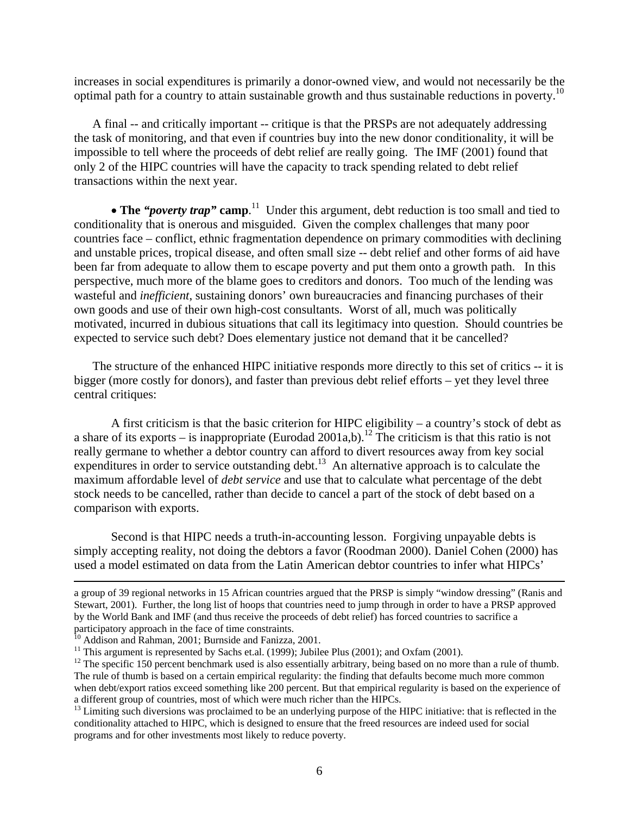increases in social expenditures is primarily a donor-owned view, and would not necessarily be the optimal path for a country to attain sustainable growth and thus sustainable reductions in poverty.<sup>10</sup>

A final -- and critically important -- critique is that the PRSPs are not adequately addressing the task of monitoring, and that even if countries buy into the new donor conditionality, it will be impossible to tell where the proceeds of debt relief are really going. The IMF (2001) found that only 2 of the HIPC countries will have the capacity to track spending related to debt relief transactions within the next year.

• **The** *"poverty trap"* **camp**. [11](#page-5-1) Under this argument, debt reduction is too small and tied to conditionality that is onerous and misguided. Given the complex challenges that many poor countries face – conflict, ethnic fragmentation dependence on primary commodities with declining and unstable prices, tropical disease, and often small size -- debt relief and other forms of aid have been far from adequate to allow them to escape poverty and put them onto a growth path. In this perspective, much more of the blame goes to creditors and donors. Too much of the lending was wasteful and *inefficient*, sustaining donors' own bureaucracies and financing purchases of their own goods and use of their own high-cost consultants. Worst of all, much was politically motivated, incurred in dubious situations that call its legitimacy into question. Should countries be expected to service such debt? Does elementary justice not demand that it be cancelled?

The structure of the enhanced HIPC initiative responds more directly to this set of critics -- it is bigger (more costly for donors), and faster than previous debt relief efforts – yet they level three central critiques:

A first criticism is that the basic criterion for HIPC eligibility – a country's stock of debt as a share of its exports – is inappropriate (Eurodad 2001a,b).<sup>12</sup> The criticism is that this ratio is not really germane to whether a debtor country can afford to divert resources away from key social expenditures in order to service outstanding debt.<sup>13</sup> An alternative approach is to calculate the maximum affordable level of *debt service* and use that to calculate what percentage of the debt stock needs to be cancelled, rather than decide to cancel a part of the stock of debt based on a comparison with exports.

Second is that HIPC needs a truth-in-accounting lesson. Forgiving unpayable debts is simply accepting reality, not doing the debtors a favor (Roodman 2000). Daniel Cohen (2000) has used a model estimated on data from the Latin American debtor countries to infer what HIPCs'

a group of 39 regional networks in 15 African countries argued that the PRSP is simply "window dressing" (Ranis and Stewart, 2001). Further, the long list of hoops that countries need to jump through in order to have a PRSP approved by the World Bank and IMF (and thus receive the proceeds of debt relief) has forced countries to sacrifice a participatory approach in the face of time constraints.<br><sup>10</sup> Addison and Rahman, 2001; Burnside and Fanizza, 2001

<span id="page-5-0"></span>

<span id="page-5-2"></span><span id="page-5-1"></span>

<sup>&</sup>lt;sup>11</sup> This argument is represented by Sachs et.al. (1999); Jubilee Plus (2001); and Oxfam (2001).<br><sup>12</sup> The specific 150 percent benchmark used is also essentially arbitrary, being based on no more than a rule of thumb. The rule of thumb is based on a certain empirical regularity: the finding that defaults become much more common when debt/export ratios exceed something like 200 percent. But that empirical regularity is based on the experience of a different group of countries, most of which were much richer than the HIPCs.<br><sup>13</sup> Limiting such diversions was proclaimed to be an underlying purpose of the HIPC initiative: that is reflected in the

<span id="page-5-3"></span>conditionality attached to HIPC, which is designed to ensure that the freed resources are indeed used for social programs and for other investments most likely to reduce poverty.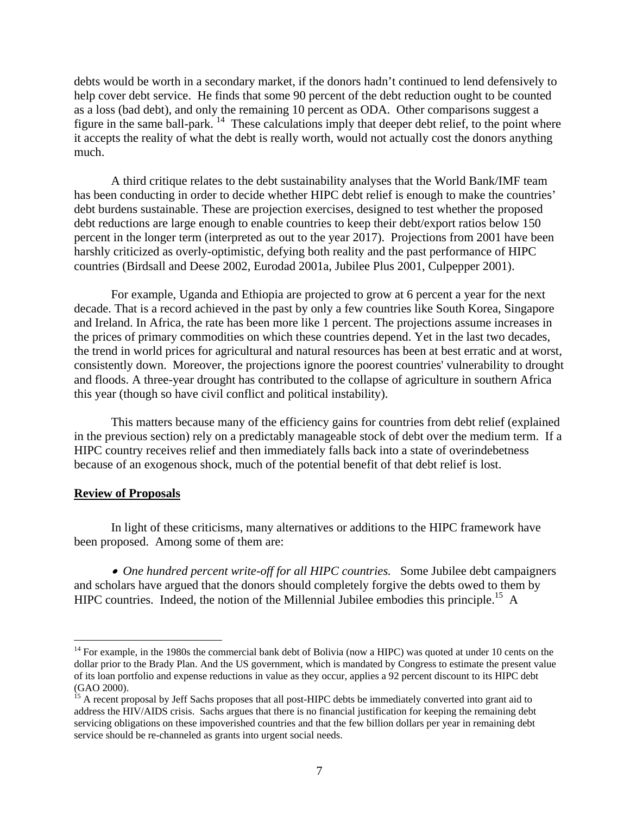debts would be worth in a secondary market, if the donors hadn't continued to lend defensively to help cover debt service. He finds that some 90 percent of the debt reduction ought to be counted as a loss (bad debt), and only the remaining 10 percent as ODA. Other comparisons suggest a figure in the same ball-park. [14](#page-6-0) These calculations imply that deeper debt relief, to the point where it accepts the reality of what the debt is really worth, would not actually cost the donors anything much.

A third critique relates to the debt sustainability analyses that the World Bank/IMF team has been conducting in order to decide whether HIPC debt relief is enough to make the countries' debt burdens sustainable. These are projection exercises, designed to test whether the proposed debt reductions are large enough to enable countries to keep their debt/export ratios below 150 percent in the longer term (interpreted as out to the year 2017). Projections from 2001 have been harshly criticized as overly-optimistic, defying both reality and the past performance of HIPC countries (Birdsall and Deese 2002, Eurodad 2001a, Jubilee Plus 2001, Culpepper 2001).

For example, Uganda and Ethiopia are projected to grow at 6 percent a year for the next decade. That is a record achieved in the past by only a few countries like South Korea, Singapore and Ireland. In Africa, the rate has been more like 1 percent. The projections assume increases in the prices of primary commodities on which these countries depend. Yet in the last two decades, the trend in world prices for agricultural and natural resources has been at best erratic and at worst, consistently down. Moreover, the projections ignore the poorest countries' vulnerability to drought and floods. A three-year drought has contributed to the collapse of agriculture in southern Africa this year (though so have civil conflict and political instability).

This matters because many of the efficiency gains for countries from debt relief (explained in the previous section) rely on a predictably manageable stock of debt over the medium term. If a HIPC country receives relief and then immediately falls back into a state of overindebetness because of an exogenous shock, much of the potential benefit of that debt relief is lost.

#### **Review of Proposals**

 $\overline{a}$ 

In light of these criticisms, many alternatives or additions to the HIPC framework have been proposed. Among some of them are:

• *One hundred percent write-off for all HIPC countries.* Some Jubilee debt campaigners and scholars have argued that the donors should completely forgive the debts owed to them by HIPC countries. Indeed, the notion of the Millennial Jubilee embodies this principle.<sup>15</sup> A

<span id="page-6-0"></span> $14$  For example, in the 1980s the commercial bank debt of Bolivia (now a HIPC) was quoted at under 10 cents on the dollar prior to the Brady Plan. And the US government, which is mandated by Congress to estimate the present value of its loan portfolio and expense reductions in value as they occur, applies a 92 percent discount to its HIPC debt

<span id="page-6-1"></span><sup>(</sup>GAO 2000). 15 A recent proposal by Jeff Sachs proposes that all post-HIPC debts be immediately converted into grant aid to address the HIV/AIDS crisis. Sachs argues that there is no financial justification for keeping the remaining debt servicing obligations on these impoverished countries and that the few billion dollars per year in remaining debt service should be re-channeled as grants into urgent social needs.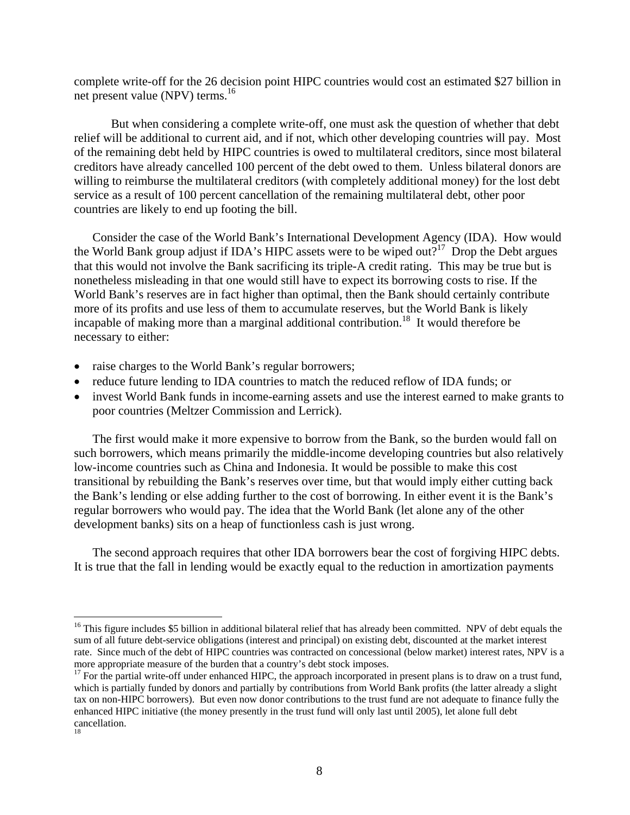complete write-off for the 26 decision point HIPC countries would cost an estimated \$27 billion in net present value (NPV) terms[.16](#page-7-0)

But when considering a complete write-off, one must ask the question of whether that debt relief will be additional to current aid, and if not, which other developing countries will pay. Most of the remaining debt held by HIPC countries is owed to multilateral creditors, since most bilateral creditors have already cancelled 100 percent of the debt owed to them. Unless bilateral donors are willing to reimburse the multilateral creditors (with completely additional money) for the lost debt service as a result of 100 percent cancellation of the remaining multilateral debt, other poor countries are likely to end up footing the bill.

Consider the case of the World Bank's International Development Agency (IDA). How would the World Bank group adjust if IDA's HIPC assets were to be wiped out?<sup>17</sup> Drop the Debt argues that this would not involve the Bank sacrificing its triple-A credit rating. This may be true but is nonetheless misleading in that one would still have to expect its borrowing costs to rise. If the World Bank's reserves are in fact higher than optimal, then the Bank should certainly contribute more of its profits and use less of them to accumulate reserves, but the World Bank is likely incapable of making more than a marginal additional contribution.<sup>18</sup> It would therefore be necessary to either:

• raise charges to the World Bank's regular borrowers;

 $\overline{a}$ 

- reduce future lending to IDA countries to match the reduced reflow of IDA funds; or
- invest World Bank funds in income-earning assets and use the interest earned to make grants to poor countries (Meltzer Commission and Lerrick).

The first would make it more expensive to borrow from the Bank, so the burden would fall on such borrowers, which means primarily the middle-income developing countries but also relatively low-income countries such as China and Indonesia. It would be possible to make this cost transitional by rebuilding the Bank's reserves over time, but that would imply either cutting back the Bank's lending or else adding further to the cost of borrowing. In either event it is the Bank's regular borrowers who would pay. The idea that the World Bank (let alone any of the other development banks) sits on a heap of functionless cash is just wrong.

The second approach requires that other IDA borrowers bear the cost of forgiving HIPC debts. It is true that the fall in lending would be exactly equal to the reduction in amortization payments

<span id="page-7-0"></span><sup>&</sup>lt;sup>16</sup> This figure includes \$5 billion in additional bilateral relief that has already been committed. NPV of debt equals the sum of all future debt-service obligations (interest and principal) on existing debt, discounted at the market interest rate. Since much of the debt of HIPC countries was contracted on concessional (below market) interest rates, NPV is a more appropriate measure of the burden that a country's debt stock imposes.<br><sup>17</sup> For the partial write-off under enhanced HIPC, the approach incorporated in present plans is to draw on a trust fund,

<span id="page-7-2"></span><span id="page-7-1"></span>which is partially funded by donors and partially by contributions from World Bank profits (the latter already a slight tax on non-HIPC borrowers). But even now donor contributions to the trust fund are not adequate to finance fully the enhanced HIPC initiative (the money presently in the trust fund will only last until 2005), let alone full debt cancellation. 18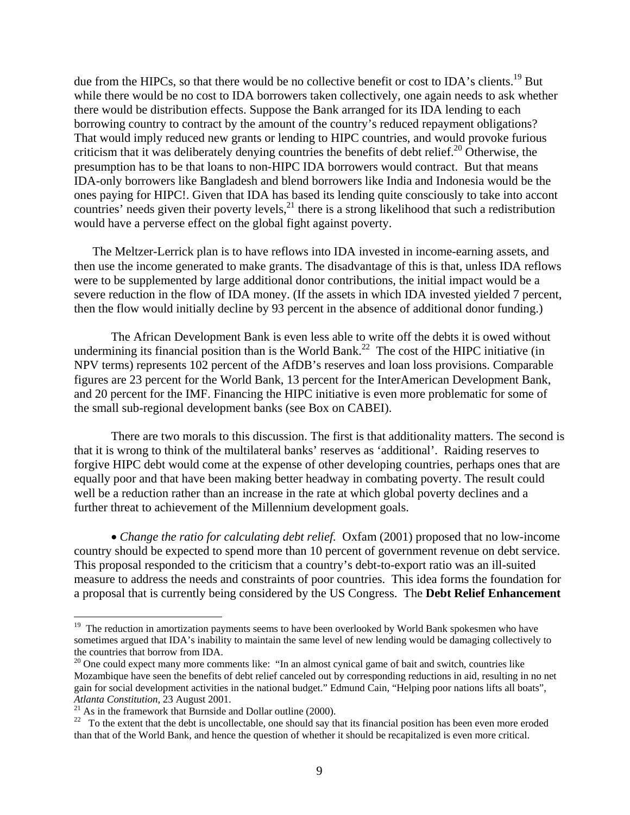due from the HIPCs, so that there would be no collective benefit or cost to IDA's clients.<sup>19</sup> But while there would be no cost to IDA borrowers taken collectively, one again needs to ask whether there would be distribution effects. Suppose the Bank arranged for its IDA lending to each borrowing country to contract by the amount of the country's reduced repayment obligations? That would imply reduced new grants or lending to HIPC countries, and would provoke furious criticism that it was deliberately denying countries the benefits of debt relief.<sup>20</sup> Otherwise, the presumption has to be that loans to non-HIPC IDA borrowers would contract. But that means IDA-only borrowers like Bangladesh and blend borrowers like India and Indonesia would be the ones paying for HIPC!. Given that IDA has based its lending quite consciously to take into accont countries' needs given their poverty levels,  $^{21}$  there is a strong likelihood that such a redistribution would have a perverse effect on the global fight against poverty.

The Meltzer-Lerrick plan is to have reflows into IDA invested in income-earning assets, and then use the income generated to make grants. The disadvantage of this is that, unless IDA reflows were to be supplemented by large additional donor contributions, the initial impact would be a severe reduction in the flow of IDA money. (If the assets in which IDA invested yielded 7 percent, then the flow would initially decline by 93 percent in the absence of additional donor funding.)

The African Development Bank is even less able to write off the debts it is owed without undermining its financial position than is the World Bank.<sup>22</sup> The cost of the HIPC initiative (in NPV terms) represents 102 percent of the AfDB's reserves and loan loss provisions. Comparable figures are 23 percent for the World Bank, 13 percent for the InterAmerican Development Bank, and 20 percent for the IMF. Financing the HIPC initiative is even more problematic for some of the small sub-regional development banks (see Box on CABEI).

There are two morals to this discussion. The first is that additionality matters. The second is that it is wrong to think of the multilateral banks' reserves as 'additional'. Raiding reserves to forgive HIPC debt would come at the expense of other developing countries, perhaps ones that are equally poor and that have been making better headway in combating poverty. The result could well be a reduction rather than an increase in the rate at which global poverty declines and a further threat to achievement of the Millennium development goals.

• *Change the ratio for calculating debt relief.* Oxfam (2001) proposed that no low-income country should be expected to spend more than 10 percent of government revenue on debt service. This proposal responded to the criticism that a country's debt-to-export ratio was an ill-suited measure to address the needs and constraints of poor countries. This idea forms the foundation for a proposal that is currently being considered by the US Congress. The **Debt Relief Enhancement** 

1

<span id="page-8-0"></span> $19$  The reduction in amortization payments seems to have been overlooked by World Bank spokesmen who have sometimes argued that IDA's inability to maintain the same level of new lending would be damaging collectively to the countries that borrow from IDA.<br><sup>20</sup> One could expect many more comments like: "In an almost cynical game of bait and switch, countries like

<span id="page-8-1"></span>Mozambique have seen the benefits of debt relief canceled out by corresponding reductions in aid, resulting in no net gain for social development activities in the national budget." Edmund Cain, "Helping poor nations lifts all boats", Atlanta Constitution, 23 August 2001.

<span id="page-8-3"></span><span id="page-8-2"></span>

<sup>&</sup>lt;sup>21</sup> As in the framework that Burnside and Dollar outline (2000).<br><sup>22</sup> To the extent that the debt is uncollectable, one should say that its financial position has been even more eroded than that of the World Bank, and hence the question of whether it should be recapitalized is even more critical.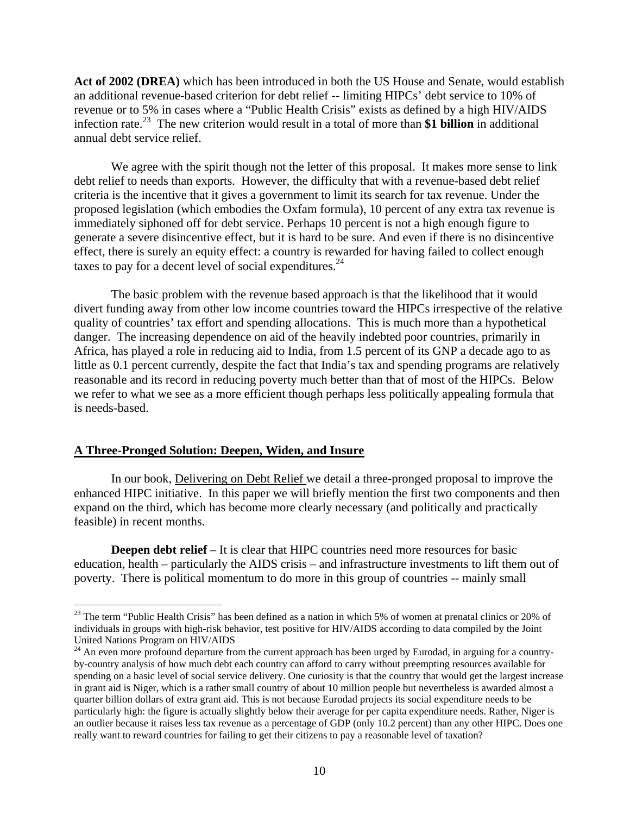**Act of 2002 (DREA)** which has been introduced in both the US House and Senate, would establish an additional revenue-based criterion for debt relief -- limiting HIPCs' debt service to 10% of revenue or to 5% in cases where a "Public Health Crisis" exists as defined by a high HIV/AIDS infection rate.[23](#page-9-0) The new criterion would result in a total of more than **\$1 billion** in additional annual debt service relief.

We agree with the spirit though not the letter of this proposal. It makes more sense to link debt relief to needs than exports. However, the difficulty that with a revenue-based debt relief criteria is the incentive that it gives a government to limit its search for tax revenue. Under the proposed legislation (which embodies the Oxfam formula), 10 percent of any extra tax revenue is immediately siphoned off for debt service. Perhaps 10 percent is not a high enough figure to generate a severe disincentive effect, but it is hard to be sure. And even if there is no disincentive effect, there is surely an equity effect: a country is rewarded for having failed to collect enough taxes to pay for a decent level of social expenditures. $24$ 

The basic problem with the revenue based approach is that the likelihood that it would divert funding away from other low income countries toward the HIPCs irrespective of the relative quality of countries' tax effort and spending allocations. This is much more than a hypothetical danger. The increasing dependence on aid of the heavily indebted poor countries, primarily in Africa, has played a role in reducing aid to India, from 1.5 percent of its GNP a decade ago to as little as 0.1 percent currently, despite the fact that India's tax and spending programs are relatively reasonable and its record in reducing poverty much better than that of most of the HIPCs. Below we refer to what we see as a more efficient though perhaps less politically appealing formula that is needs-based.

#### **A Three-Pronged Solution: Deepen, Widen, and Insure**

1

In our book, Delivering on Debt Relief we detail a three-pronged proposal to improve the enhanced HIPC initiative. In this paper we will briefly mention the first two components and then expand on the third, which has become more clearly necessary (and politically and practically feasible) in recent months.

**Deepen debt relief** – It is clear that HIPC countries need more resources for basic education, health – particularly the AIDS crisis – and infrastructure investments to lift them out of poverty. There is political momentum to do more in this group of countries -- mainly small

<span id="page-9-0"></span> $23$  The term "Public Health Crisis" has been defined as a nation in which 5% of women at prenatal clinics or 20% of individuals in groups with high-risk behavior, test positive for HIV/AIDS according to data compiled by the Joint

<span id="page-9-1"></span><sup>&</sup>lt;sup>24</sup> An even more profound departure from the current approach has been urged by Eurodad, in arguing for a countryby-country analysis of how much debt each country can afford to carry without preempting resources available for spending on a basic level of social service delivery. One curiosity is that the country that would get the largest increase in grant aid is Niger, which is a rather small country of about 10 million people but nevertheless is awarded almost a quarter billion dollars of extra grant aid. This is not because Eurodad projects its social expenditure needs to be particularly high: the figure is actually slightly below their average for per capita expenditure needs. Rather, Niger is an outlier because it raises less tax revenue as a percentage of GDP (only 10.2 percent) than any other HIPC. Does one really want to reward countries for failing to get their citizens to pay a reasonable level of taxation?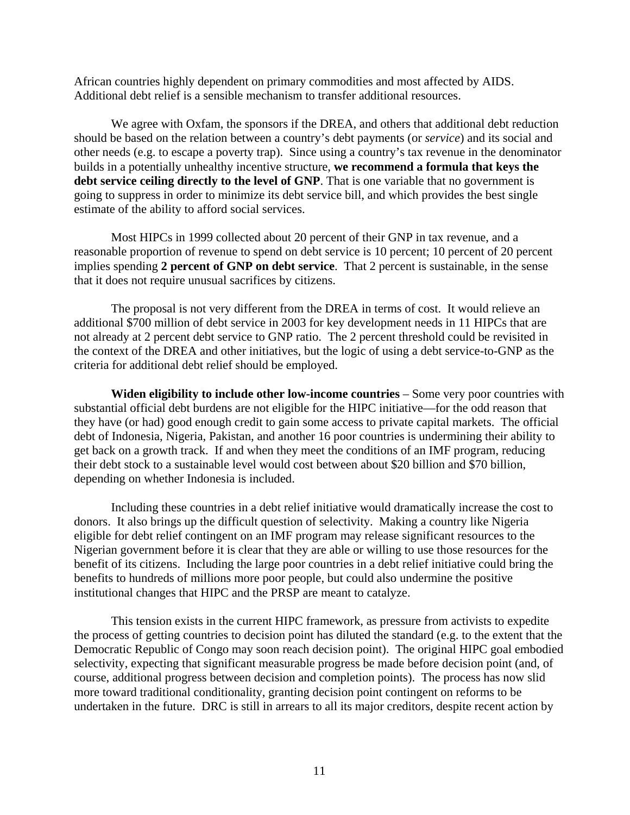African countries highly dependent on primary commodities and most affected by AIDS. Additional debt relief is a sensible mechanism to transfer additional resources.

We agree with Oxfam, the sponsors if the DREA, and others that additional debt reduction should be based on the relation between a country's debt payments (or *service*) and its social and other needs (e.g. to escape a poverty trap). Since using a country's tax revenue in the denominator builds in a potentially unhealthy incentive structure, **we recommend a formula that keys the debt service ceiling directly to the level of GNP**. That is one variable that no government is going to suppress in order to minimize its debt service bill, and which provides the best single estimate of the ability to afford social services.

Most HIPCs in 1999 collected about 20 percent of their GNP in tax revenue, and a reasonable proportion of revenue to spend on debt service is 10 percent; 10 percent of 20 percent implies spending **2 percent of GNP on debt service**. That 2 percent is sustainable, in the sense that it does not require unusual sacrifices by citizens.

The proposal is not very different from the DREA in terms of cost. It would relieve an additional \$700 million of debt service in 2003 for key development needs in 11 HIPCs that are not already at 2 percent debt service to GNP ratio. The 2 percent threshold could be revisited in the context of the DREA and other initiatives, but the logic of using a debt service-to-GNP as the criteria for additional debt relief should be employed.

**Widen eligibility to include other low-income countries** – Some very poor countries with substantial official debt burdens are not eligible for the HIPC initiative—for the odd reason that they have (or had) good enough credit to gain some access to private capital markets. The official debt of Indonesia, Nigeria, Pakistan, and another 16 poor countries is undermining their ability to get back on a growth track. If and when they meet the conditions of an IMF program, reducing their debt stock to a sustainable level would cost between about \$20 billion and \$70 billion, depending on whether Indonesia is included.

Including these countries in a debt relief initiative would dramatically increase the cost to donors. It also brings up the difficult question of selectivity. Making a country like Nigeria eligible for debt relief contingent on an IMF program may release significant resources to the Nigerian government before it is clear that they are able or willing to use those resources for the benefit of its citizens. Including the large poor countries in a debt relief initiative could bring the benefits to hundreds of millions more poor people, but could also undermine the positive institutional changes that HIPC and the PRSP are meant to catalyze.

This tension exists in the current HIPC framework, as pressure from activists to expedite the process of getting countries to decision point has diluted the standard (e.g. to the extent that the Democratic Republic of Congo may soon reach decision point). The original HIPC goal embodied selectivity, expecting that significant measurable progress be made before decision point (and, of course, additional progress between decision and completion points). The process has now slid more toward traditional conditionality, granting decision point contingent on reforms to be undertaken in the future. DRC is still in arrears to all its major creditors, despite recent action by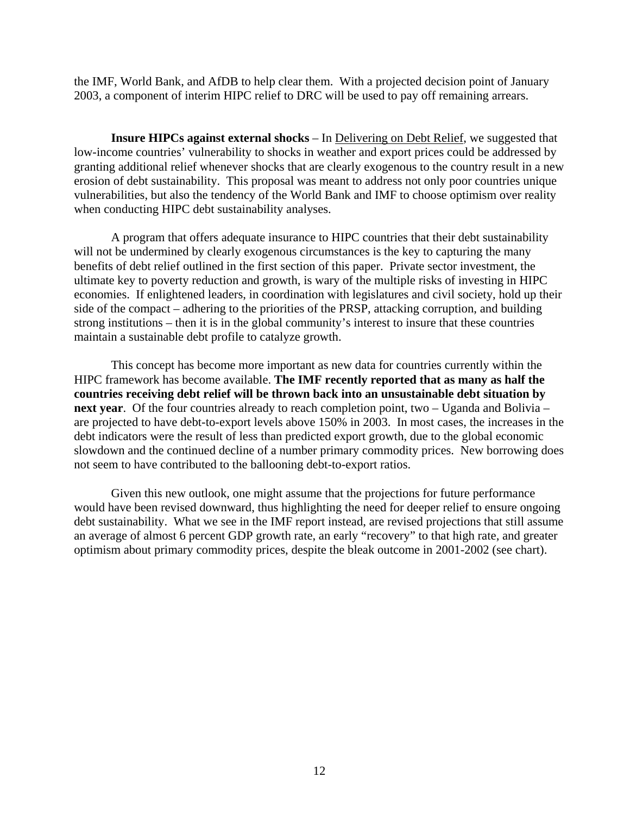the IMF, World Bank, and AfDB to help clear them. With a projected decision point of January 2003, a component of interim HIPC relief to DRC will be used to pay off remaining arrears.

**Insure HIPCs against external shocks** – In Delivering on Debt Relief, we suggested that low-income countries' vulnerability to shocks in weather and export prices could be addressed by granting additional relief whenever shocks that are clearly exogenous to the country result in a new erosion of debt sustainability. This proposal was meant to address not only poor countries unique vulnerabilities, but also the tendency of the World Bank and IMF to choose optimism over reality when conducting HIPC debt sustainability analyses.

A program that offers adequate insurance to HIPC countries that their debt sustainability will not be undermined by clearly exogenous circumstances is the key to capturing the many benefits of debt relief outlined in the first section of this paper. Private sector investment, the ultimate key to poverty reduction and growth, is wary of the multiple risks of investing in HIPC economies. If enlightened leaders, in coordination with legislatures and civil society, hold up their side of the compact – adhering to the priorities of the PRSP, attacking corruption, and building strong institutions – then it is in the global community's interest to insure that these countries maintain a sustainable debt profile to catalyze growth.

This concept has become more important as new data for countries currently within the HIPC framework has become available. **The IMF recently reported that as many as half the countries receiving debt relief will be thrown back into an unsustainable debt situation by next year**. Of the four countries already to reach completion point, two – Uganda and Bolivia – are projected to have debt-to-export levels above 150% in 2003. In most cases, the increases in the debt indicators were the result of less than predicted export growth, due to the global economic slowdown and the continued decline of a number primary commodity prices. New borrowing does not seem to have contributed to the ballooning debt-to-export ratios.

Given this new outlook, one might assume that the projections for future performance would have been revised downward, thus highlighting the need for deeper relief to ensure ongoing debt sustainability. What we see in the IMF report instead, are revised projections that still assume an average of almost 6 percent GDP growth rate, an early "recovery" to that high rate, and greater optimism about primary commodity prices, despite the bleak outcome in 2001-2002 (see chart).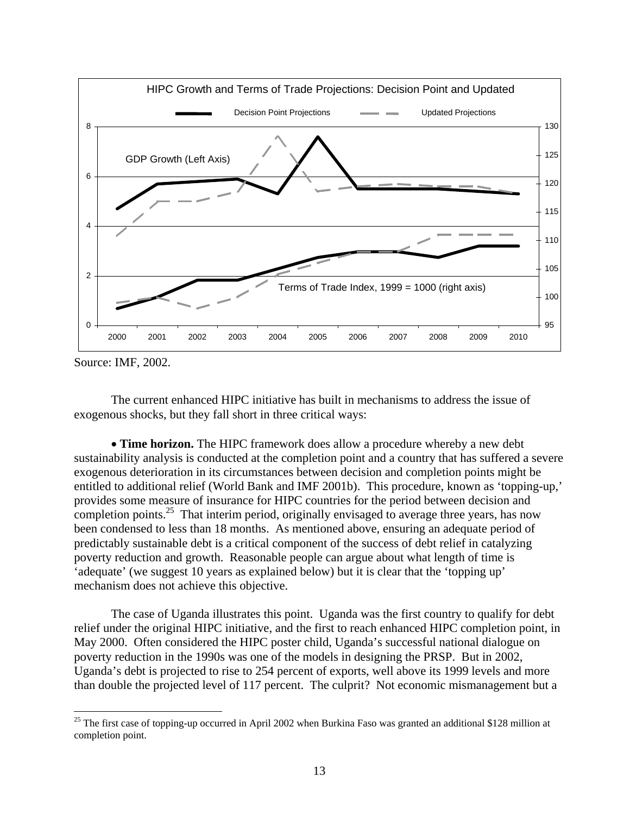

Source: IMF, 2002.

 $\overline{a}$ 

The current enhanced HIPC initiative has built in mechanisms to address the issue of exogenous shocks, but they fall short in three critical ways:

• **Time horizon.** The HIPC framework does allow a procedure whereby a new debt sustainability analysis is conducted at the completion point and a country that has suffered a severe exogenous deterioration in its circumstances between decision and completion points might be entitled to additional relief (World Bank and IMF 2001b). This procedure, known as 'topping-up,' provides some measure of insurance for HIPC countries for the period between decision and completion points.<sup>25</sup> That interim period, originally envisaged to average three years, has now been condensed to less than 18 months. As mentioned above, ensuring an adequate period of predictably sustainable debt is a critical component of the success of debt relief in catalyzing poverty reduction and growth. Reasonable people can argue about what length of time is 'adequate' (we suggest 10 years as explained below) but it is clear that the 'topping up' mechanism does not achieve this objective.

The case of Uganda illustrates this point. Uganda was the first country to qualify for debt relief under the original HIPC initiative, and the first to reach enhanced HIPC completion point, in May 2000. Often considered the HIPC poster child, Uganda's successful national dialogue on poverty reduction in the 1990s was one of the models in designing the PRSP. But in 2002, Uganda's debt is projected to rise to 254 percent of exports, well above its 1999 levels and more than double the projected level of 117 percent. The culprit? Not economic mismanagement but a

<span id="page-12-0"></span> $25$  The first case of topping-up occurred in April 2002 when Burkina Faso was granted an additional \$128 million at completion point.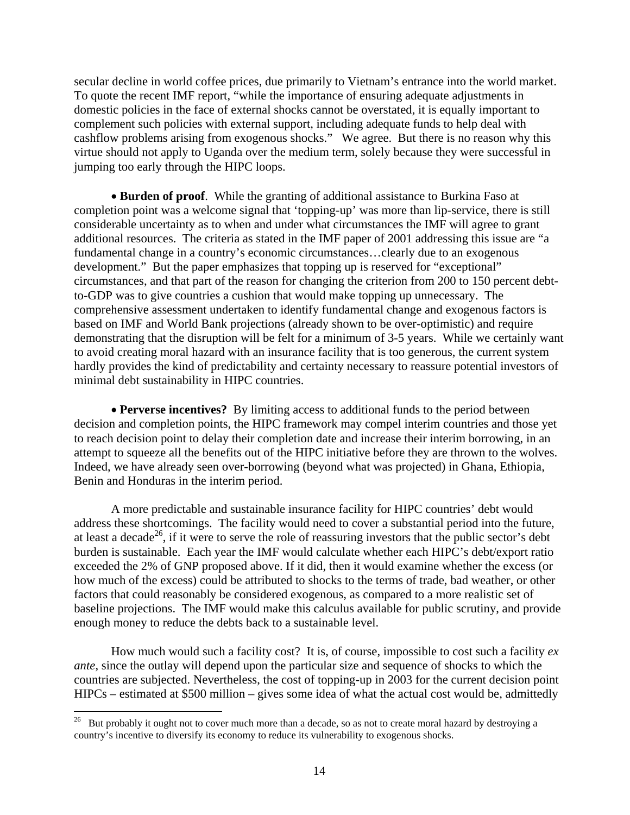secular decline in world coffee prices, due primarily to Vietnam's entrance into the world market. To quote the recent IMF report, "while the importance of ensuring adequate adjustments in domestic policies in the face of external shocks cannot be overstated, it is equally important to complement such policies with external support, including adequate funds to help deal with cashflow problems arising from exogenous shocks." We agree. But there is no reason why this virtue should not apply to Uganda over the medium term, solely because they were successful in jumping too early through the HIPC loops.

• **Burden of proof**. While the granting of additional assistance to Burkina Faso at completion point was a welcome signal that 'topping-up' was more than lip-service, there is still considerable uncertainty as to when and under what circumstances the IMF will agree to grant additional resources. The criteria as stated in the IMF paper of 2001 addressing this issue are "a fundamental change in a country's economic circumstances…clearly due to an exogenous development." But the paper emphasizes that topping up is reserved for "exceptional" circumstances, and that part of the reason for changing the criterion from 200 to 150 percent debtto-GDP was to give countries a cushion that would make topping up unnecessary. The comprehensive assessment undertaken to identify fundamental change and exogenous factors is based on IMF and World Bank projections (already shown to be over-optimistic) and require demonstrating that the disruption will be felt for a minimum of 3-5 years. While we certainly want to avoid creating moral hazard with an insurance facility that is too generous, the current system hardly provides the kind of predictability and certainty necessary to reassure potential investors of minimal debt sustainability in HIPC countries.

• **Perverse incentives?** By limiting access to additional funds to the period between decision and completion points, the HIPC framework may compel interim countries and those yet to reach decision point to delay their completion date and increase their interim borrowing, in an attempt to squeeze all the benefits out of the HIPC initiative before they are thrown to the wolves. Indeed, we have already seen over-borrowing (beyond what was projected) in Ghana, Ethiopia, Benin and Honduras in the interim period.

A more predictable and sustainable insurance facility for HIPC countries' debt would address these shortcomings. The facility would need to cover a substantial period into the future, at least a decade<sup>26</sup>, if it were to serve the role of reassuring investors that the public sector's debt burden is sustainable. Each year the IMF would calculate whether each HIPC's debt/export ratio exceeded the 2% of GNP proposed above. If it did, then it would examine whether the excess (or how much of the excess) could be attributed to shocks to the terms of trade, bad weather, or other factors that could reasonably be considered exogenous, as compared to a more realistic set of baseline projections. The IMF would make this calculus available for public scrutiny, and provide enough money to reduce the debts back to a sustainable level.

How much would such a facility cost? It is, of course, impossible to cost such a facility *ex ante*, since the outlay will depend upon the particular size and sequence of shocks to which the countries are subjected. Nevertheless, the cost of topping-up in 2003 for the current decision point HIPCs – estimated at \$500 million – gives some idea of what the actual cost would be, admittedly

<span id="page-13-0"></span> $26\,$ But probably it ought not to cover much more than a decade, so as not to create moral hazard by destroying a country's incentive to diversify its economy to reduce its vulnerability to exogenous shocks.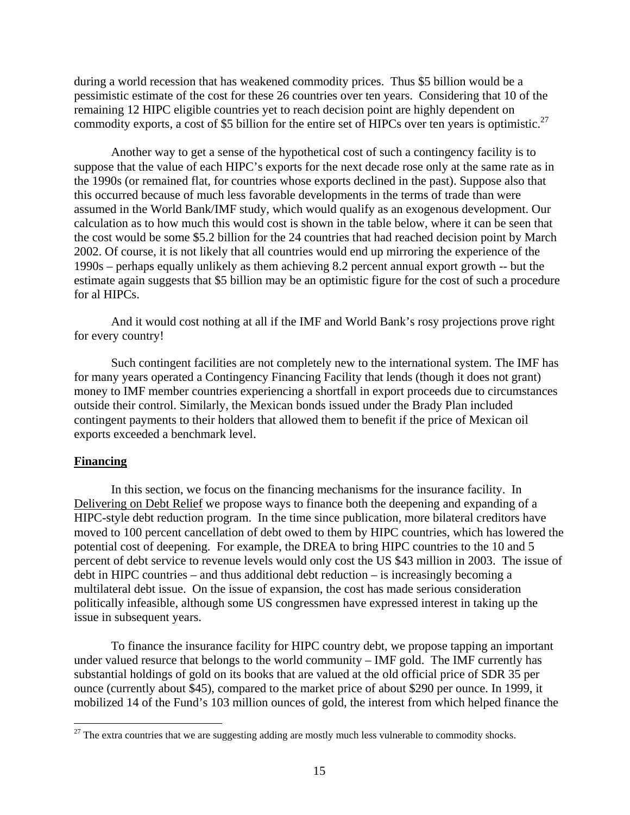during a world recession that has weakened commodity prices. Thus \$5 billion would be a pessimistic estimate of the cost for these 26 countries over ten years. Considering that 10 of the remaining 12 HIPC eligible countries yet to reach decision point are highly dependent on commodity exports, a cost of \$5 billion for the entire set of HIPCs over ten years is optimistic.<sup>[27](#page-14-0)</sup>

Another way to get a sense of the hypothetical cost of such a contingency facility is to suppose that the value of each HIPC's exports for the next decade rose only at the same rate as in the 1990s (or remained flat, for countries whose exports declined in the past). Suppose also that this occurred because of much less favorable developments in the terms of trade than were assumed in the World Bank/IMF study, which would qualify as an exogenous development. Our calculation as to how much this would cost is shown in the table below, where it can be seen that the cost would be some \$5.2 billion for the 24 countries that had reached decision point by March 2002. Of course, it is not likely that all countries would end up mirroring the experience of the 1990s – perhaps equally unlikely as them achieving 8.2 percent annual export growth -- but the estimate again suggests that \$5 billion may be an optimistic figure for the cost of such a procedure for al HIPCs.

And it would cost nothing at all if the IMF and World Bank's rosy projections prove right for every country!

Such contingent facilities are not completely new to the international system. The IMF has for many years operated a Contingency Financing Facility that lends (though it does not grant) money to IMF member countries experiencing a shortfall in export proceeds due to circumstances outside their control. Similarly, the Mexican bonds issued under the Brady Plan included contingent payments to their holders that allowed them to benefit if the price of Mexican oil exports exceeded a benchmark level.

#### **Financing**

 $\overline{a}$ 

In this section, we focus on the financing mechanisms for the insurance facility. In Delivering on Debt Relief we propose ways to finance both the deepening and expanding of a HIPC-style debt reduction program. In the time since publication, more bilateral creditors have moved to 100 percent cancellation of debt owed to them by HIPC countries, which has lowered the potential cost of deepening. For example, the DREA to bring HIPC countries to the 10 and 5 percent of debt service to revenue levels would only cost the US \$43 million in 2003. The issue of debt in HIPC countries – and thus additional debt reduction – is increasingly becoming a multilateral debt issue. On the issue of expansion, the cost has made serious consideration politically infeasible, although some US congressmen have expressed interest in taking up the issue in subsequent years.

To finance the insurance facility for HIPC country debt, we propose tapping an important under valued resurce that belongs to the world community – IMF gold. The IMF currently has substantial holdings of gold on its books that are valued at the old official price of SDR 35 per ounce (currently about \$45), compared to the market price of about \$290 per ounce. In 1999, it mobilized 14 of the Fund's 103 million ounces of gold, the interest from which helped finance the

<span id="page-14-0"></span> $27$  The extra countries that we are suggesting adding are mostly much less vulnerable to commodity shocks.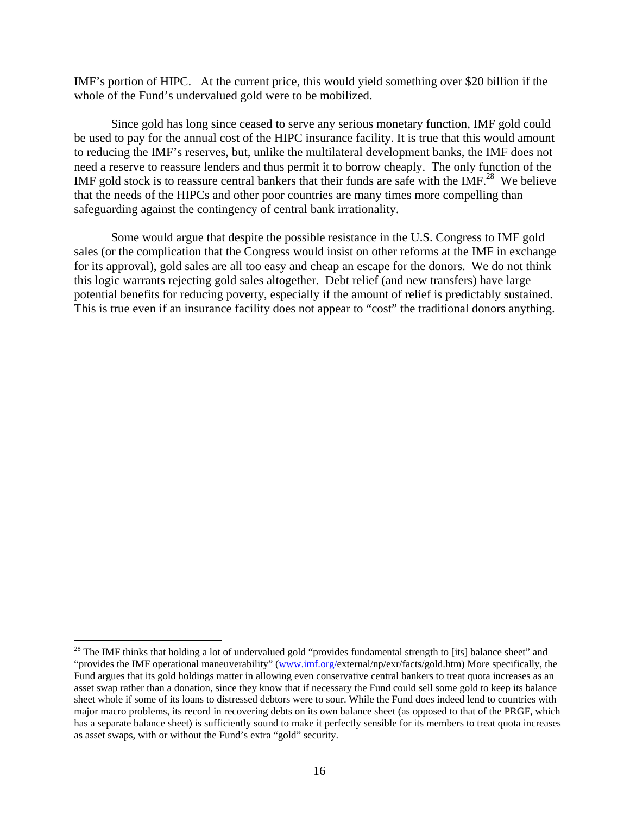IMF's portion of HIPC. At the current price, this would yield something over \$20 billion if the whole of the Fund's undervalued gold were to be mobilized.

Since gold has long since ceased to serve any serious monetary function, IMF gold could be used to pay for the annual cost of the HIPC insurance facility. It is true that this would amount to reducing the IMF's reserves, but, unlike the multilateral development banks, the IMF does not need a reserve to reassure lenders and thus permit it to borrow cheaply. The only function of the IMF gold stock is to reassure central bankers that their funds are safe with the IMF.<sup>28</sup> We believe that the needs of the HIPCs and other poor countries are many times more compelling than safeguarding against the contingency of central bank irrationality.

Some would argue that despite the possible resistance in the U.S. Congress to IMF gold sales (or the complication that the Congress would insist on other reforms at the IMF in exchange for its approval), gold sales are all too easy and cheap an escape for the donors. We do not think this logic warrants rejecting gold sales altogether. Debt relief (and new transfers) have large potential benefits for reducing poverty, especially if the amount of relief is predictably sustained. This is true even if an insurance facility does not appear to "cost" the traditional donors anything.

1

<span id="page-15-0"></span><sup>&</sup>lt;sup>28</sup> The IMF thinks that holding a lot of undervalued gold "provides fundamental strength to [its] balance sheet" and "provides the IMF operational maneuverability" [\(www.imf.org/e](http://www.imf.org/)xternal/np/exr/facts/gold.htm) More specifically, the Fund argues that its gold holdings matter in allowing even conservative central bankers to treat quota increases as an asset swap rather than a donation, since they know that if necessary the Fund could sell some gold to keep its balance sheet whole if some of its loans to distressed debtors were to sour. While the Fund does indeed lend to countries with major macro problems, its record in recovering debts on its own balance sheet (as opposed to that of the PRGF, which has a separate balance sheet) is sufficiently sound to make it perfectly sensible for its members to treat quota increases as asset swaps, with or without the Fund's extra "gold" security.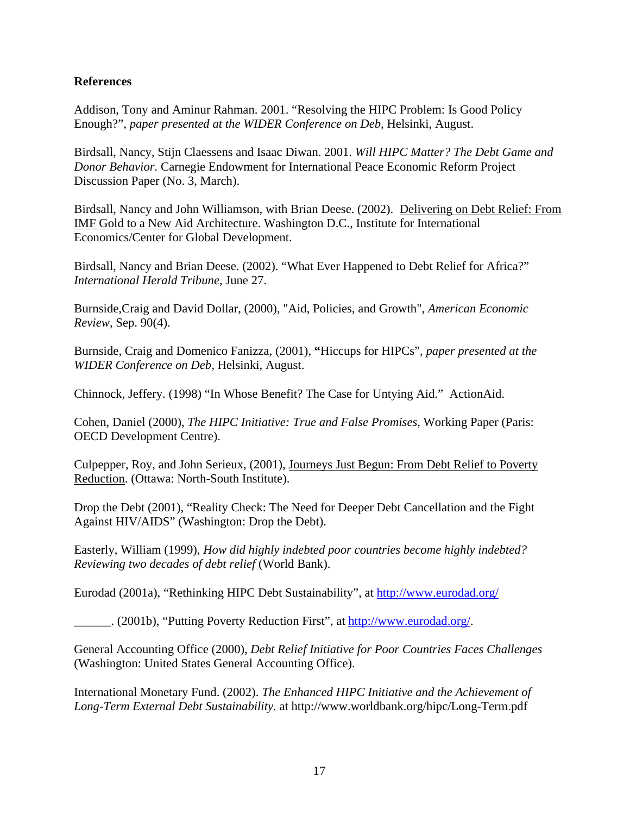## **References**

Addison, Tony and Aminur Rahman. 2001. "Resolving the HIPC Problem: Is Good Policy Enough?", *paper presented at the WIDER Conference on Deb,* Helsinki, August.

Birdsall, Nancy, Stijn Claessens and Isaac Diwan. 2001. *Will HIPC Matter? The Debt Game and Donor Behavior.* Carnegie Endowment for International Peace Economic Reform Project Discussion Paper (No. 3, March).

Birdsall, Nancy and John Williamson, with Brian Deese. (2002). Delivering on Debt Relief: From IMF Gold to a New Aid Architecture. Washington D.C., Institute for International Economics/Center for Global Development.

Birdsall, Nancy and Brian Deese. (2002). "What Ever Happened to Debt Relief for Africa?" *International Herald Tribune*, June 27.

Burnside,Craig and David Dollar, (2000), "Aid, Policies, and Growth", *American Economic Review,* Sep. 90(4).

Burnside, Craig and Domenico Fanizza, (2001), **"**Hiccups for HIPCs", *paper presented at the WIDER Conference on Deb,* Helsinki, August.

Chinnock, Jeffery. (1998) "In Whose Benefit? The Case for Untying Aid." ActionAid.

Cohen, Daniel (2000), *The HIPC Initiative: True and False Promises*, Working Paper (Paris: OECD Development Centre).

Culpepper, Roy, and John Serieux, (2001), Journeys Just Begun: From Debt Relief to Poverty Reduction. (Ottawa: North-South Institute).

Drop the Debt (2001), "Reality Check: The Need for Deeper Debt Cancellation and the Fight Against HIV/AIDS" (Washington: Drop the Debt).

Easterly, William (1999), *How did highly indebted poor countries become highly indebted? Reviewing two decades of debt relief* (World Bank).

Eurodad (2001a), "Rethinking HIPC Debt Sustainability", at<http://www.eurodad.org/>

\_\_\_\_\_. (2001b), "Putting Poverty Reduction First", at <http://www.eurodad.org/>.

General Accounting Office (2000), *Debt Relief Initiative for Poor Countries Faces Challenges* (Washington: United States General Accounting Office).

International Monetary Fund. (2002). *The Enhanced HIPC Initiative and the Achievement of Long-Term External Debt Sustainability.* at http://www.worldbank.org/hipc/Long-Term.pdf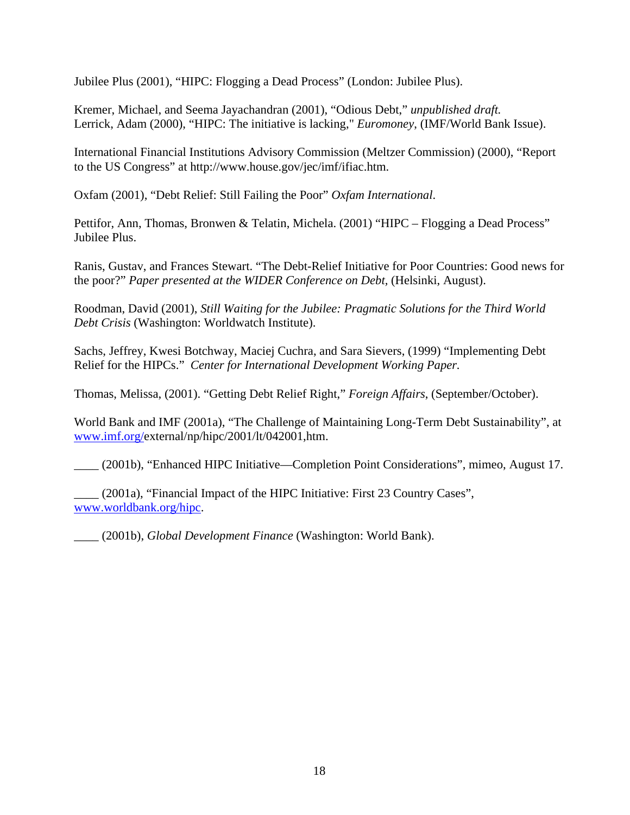Jubilee Plus (2001), "HIPC: Flogging a Dead Process" (London: Jubilee Plus).

Kremer, Michael, and Seema Jayachandran (2001), "Odious Debt," *unpublished draft.* Lerrick, Adam (2000), "HIPC: The initiative is lacking," *Euromoney*, (IMF/World Bank Issue).

International Financial Institutions Advisory Commission (Meltzer Commission) (2000), "Report to the US Congress" at http://www.house.gov/jec/imf/ifiac.htm.

Oxfam (2001), "Debt Relief: Still Failing the Poor" *Oxfam International*.

Pettifor, Ann, Thomas, Bronwen & Telatin, Michela. (2001) "HIPC – Flogging a Dead Process" Jubilee Plus.

Ranis, Gustav, and Frances Stewart. "The Debt-Relief Initiative for Poor Countries: Good news for the poor?" *Paper presented at the WIDER Conference on Debt,* (Helsinki, August).

Roodman, David (2001), *Still Waiting for the Jubilee: Pragmatic Solutions for the Third World Debt Crisis* (Washington: Worldwatch Institute).

Sachs, Jeffrey, Kwesi Botchway, Maciej Cuchra, and Sara Sievers, (1999) "Implementing Debt Relief for the HIPCs." *Center for International Development Working Paper.*

Thomas, Melissa, (2001). "Getting Debt Relief Right," *Foreign Affairs*, (September/October).

World Bank and IMF (2001a), "The Challenge of Maintaining Long-Term Debt Sustainability", at [www.imf.org/](http://www.imf.org/)external/np/hipc/2001/lt/042001,htm.

\_\_\_\_ (2001b), "Enhanced HIPC Initiative—Completion Point Considerations", mimeo, August 17.

\_\_\_\_ (2001a), "Financial Impact of the HIPC Initiative: First 23 Country Cases", [www.worldbank.org/hipc](http://www.worldbank.org/hipc).

\_\_\_\_ (2001b), *Global Development Finance* (Washington: World Bank).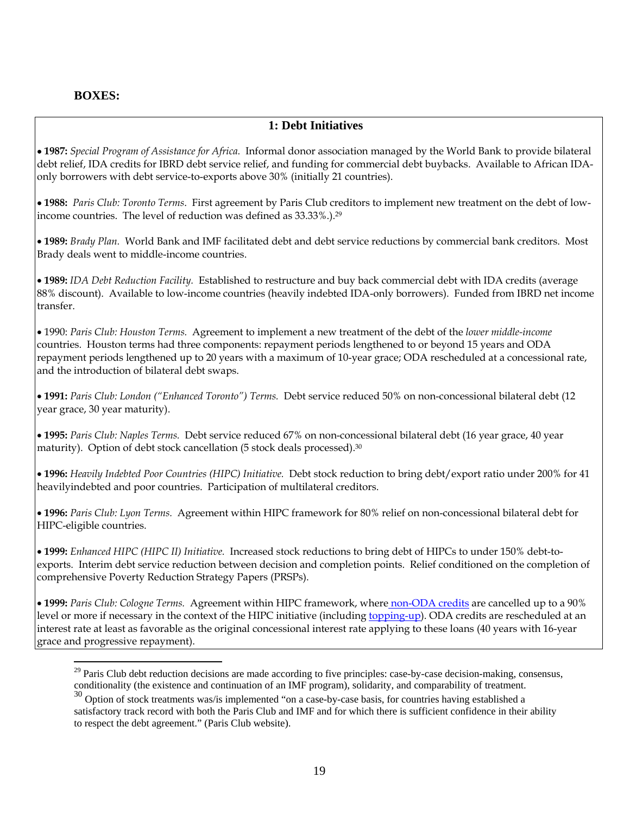### **BOXES:**

 $\overline{a}$ 

### **1: Debt Initiatives**

• **1987:** *Special Program of Assistance for Africa.* Informal donor association managed by the World Bank to provide bilateral debt relief, IDA credits for IBRD debt service relief, and funding for commercial debt buybacks. Available to African IDAonly borrowers with debt service-to-exports above 30% (initially 21 countries).

• **1988:** *Paris Club: Toronto Terms*. First agreement by Paris Club creditors to implement new treatment on the debt of lowincome countries. The level of reduction was defined as 33.33%.). [29](#page-18-0)

• **1989:** *Brady Plan.* World Bank and IMF facilitated debt and debt service reductions by commercial bank creditors. Most Brady deals went to middle-income countries.

• **1989:** *IDA Debt Reduction Facility.* Established to restructure and buy back commercial debt with IDA credits (average 88% discount). Available to low-income countries (heavily indebted IDA-only borrowers). Funded from IBRD net income transfer.

• 1990: *Paris Club: Houston Terms.* Agreement to implement a new treatment of the debt of the *lower middle-income* countries. Houston terms had three components: repayment periods lengthened to or beyond 15 years and ODA repayment periods lengthened up to 20 years with a maximum of 10-year grace; ODA rescheduled at a concessional rate, and the introduction of bilateral debt swaps.

• **1991:** *Paris Club: London ("Enhanced Toronto") Terms.* Debt service reduced 50% on non-concessional bilateral debt (12 year grace, 30 year maturity).

• **1995:** *Paris Club: Naples Terms.* Debt service reduced 67% on non-concessional bilateral debt (16 year grace, 40 year maturity). Option of debt stock cancellation (5 stock deals processed).<sup>[30](#page-18-1)</sup>

• **1996:** *Heavily Indebted Poor Countries (HIPC) Initiative.* Debt stock reduction to bring debt/export ratio under 200% for 41 heavilyindebted and poor countries. Participation of multilateral creditors.

• **1996:** *Paris Club: Lyon Terms.* Agreement within HIPC framework for 80% relief on non-concessional bilateral debt for HIPC-eligible countries.

• **1999:** *Enhanced HIPC (HIPC II) Initiative.* Increased stock reductions to bring debt of HIPCs to under 150% debt-toexports. Interim debt service reduction between decision and completion points. Relief conditioned on the completion of comprehensive Poverty Reduction Strategy Papers (PRSPs).

• **1999:** *Paris Club: Cologne Terms.* Agreement within HIPC framework, where non-ODA credits are cancelled up to a 90% level or more if necessary in the context of the HIPC initiative (including [topping-up](http://www.clubdeparis.org/en/presentation/presentation.php?BATCH=B03WP06)). ODA credits are rescheduled at an interest rate at least as favorable as the original concessional interest rate applying to these loans (40 years with 16-year grace and progressive repayment).

<span id="page-18-0"></span><sup>&</sup>lt;sup>29</sup> Paris Club debt reduction decisions are made according to five principles: case-by-case decision-making, consensus, conditionality (the existence and continuation of an IMF program), solidarity, and comparability of treatment. 30 Option of stock treatments was/is implemented "on a case-by-case basis, for countries having established a

<span id="page-18-1"></span>satisfactory track record with both the Paris Club and IMF and for which there is sufficient confidence in their ability to respect the debt agreement." (Paris Club website).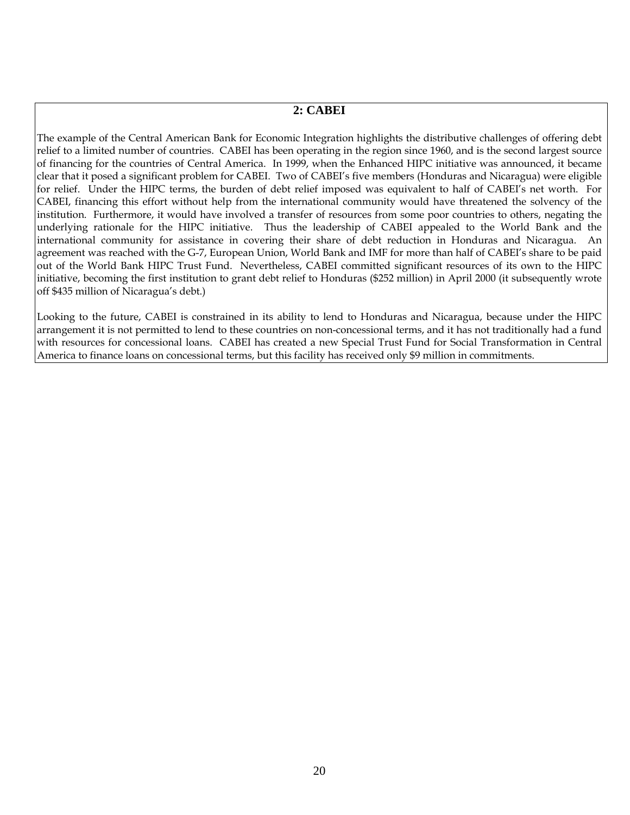### **2: CABEI**

The example of the Central American Bank for Economic Integration highlights the distributive challenges of offering debt relief to a limited number of countries. CABEI has been operating in the region since 1960, and is the second largest source of financing for the countries of Central America. In 1999, when the Enhanced HIPC initiative was announced, it became clear that it posed a significant problem for CABEI. Two of CABEI's five members (Honduras and Nicaragua) were eligible for relief. Under the HIPC terms, the burden of debt relief imposed was equivalent to half of CABEI's net worth. For CABEI, financing this effort without help from the international community would have threatened the solvency of the institution. Furthermore, it would have involved a transfer of resources from some poor countries to others, negating the underlying rationale for the HIPC initiative. Thus the leadership of CABEI appealed to the World Bank and the international community for assistance in covering their share of debt reduction in Honduras and Nicaragua. An agreement was reached with the G-7, European Union, World Bank and IMF for more than half of CABEI's share to be paid out of the World Bank HIPC Trust Fund. Nevertheless, CABEI committed significant resources of its own to the HIPC initiative, becoming the first institution to grant debt relief to Honduras (\$252 million) in April 2000 (it subsequently wrote off \$435 million of Nicaragua's debt.)

Looking to the future, CABEI is constrained in its ability to lend to Honduras and Nicaragua, because under the HIPC arrangement it is not permitted to lend to these countries on non-concessional terms, and it has not traditionally had a fund with resources for concessional loans. CABEI has created a new Special Trust Fund for Social Transformation in Central America to finance loans on concessional terms, but this facility has received only \$9 million in commitments.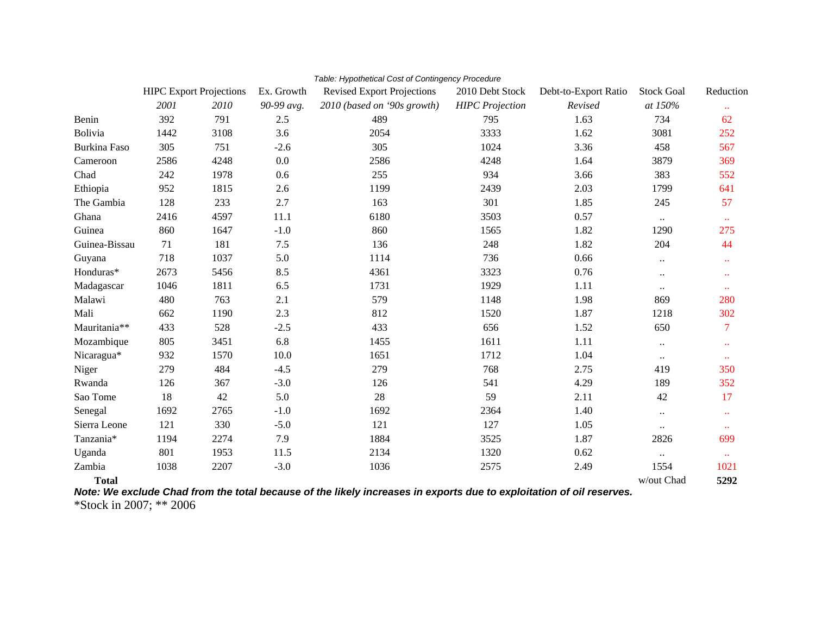|                     | <b>HIPC Export Projections</b> |      |            | <b>Revised Export Projections</b> | 2010 Debt Stock        | Debt-to-Export Ratio | <b>Stock Goal</b>    | Reduction            |
|---------------------|--------------------------------|------|------------|-----------------------------------|------------------------|----------------------|----------------------|----------------------|
|                     |                                |      | Ex. Growth |                                   |                        |                      |                      |                      |
|                     | 2001                           | 2010 | 90-99 avg. | 2010 (based on '90s growth)       | <b>HIPC</b> Projection | Revised              | at 150%              |                      |
| Benin               | 392                            | 791  | 2.5        | 489                               | 795                    | 1.63                 | 734                  | 62                   |
| Bolivia             | 1442                           | 3108 | 3.6        | 2054                              | 3333                   | 1.62                 | 3081                 | 252                  |
| <b>Burkina Faso</b> | 305                            | 751  | $-2.6$     | 305                               | 1024                   | 3.36                 | 458                  | 567                  |
| Cameroon            | 2586                           | 4248 | 0.0        | 2586                              | 4248                   | 1.64                 | 3879                 | 369                  |
| Chad                | 242                            | 1978 | 0.6        | 255                               | 934                    | 3.66                 | 383                  | 552                  |
| Ethiopia            | 952                            | 1815 | 2.6        | 1199                              | 2439                   | 2.03                 | 1799                 | 641                  |
| The Gambia          | 128                            | 233  | 2.7        | 163                               | 301                    | 1.85                 | 245                  | 57                   |
| Ghana               | 2416                           | 4597 | 11.1       | 6180                              | 3503                   | 0.57                 | $\ddotsc$            | $\ddot{\phantom{1}}$ |
| Guinea              | 860                            | 1647 | $-1.0$     | 860                               | 1565                   | 1.82                 | 1290                 | 275                  |
| Guinea-Bissau       | 71                             | 181  | $7.5\,$    | 136                               | 248                    | 1.82                 | 204                  | 44                   |
| Guyana              | 718                            | 1037 | 5.0        | 1114                              | 736                    | 0.66                 | $\ddotsc$            | $\ddotsc$            |
| Honduras*           | 2673                           | 5456 | 8.5        | 4361                              | 3323                   | 0.76                 | $\ddot{\phantom{0}}$ | $\bullet\bullet$     |
| Madagascar          | 1046                           | 1811 | 6.5        | 1731                              | 1929                   | 1.11                 | $\ddotsc$            | $\bullet\bullet$     |
| Malawi              | 480                            | 763  | 2.1        | 579                               | 1148                   | 1.98                 | 869                  | 280                  |
| Mali                | 662                            | 1190 | 2.3        | 812                               | 1520                   | 1.87                 | 1218                 | 302                  |
| Mauritania**        | 433                            | 528  | $-2.5$     | 433                               | 656                    | 1.52                 | 650                  | $\overline{7}$       |
| Mozambique          | 805                            | 3451 | 6.8        | 1455                              | 1611                   | 1.11                 | $\ldots$             | $\bullet\bullet$     |
| Nicaragua*          | 932                            | 1570 | 10.0       | 1651                              | 1712                   | 1.04                 | $\ddotsc$            | $\ddotsc$            |
| Niger               | 279                            | 484  | $-4.5$     | 279                               | 768                    | 2.75                 | 419                  | 350                  |
| Rwanda              | 126                            | 367  | $-3.0$     | 126                               | 541                    | 4.29                 | 189                  | 352                  |
| Sao Tome            | 18                             | 42   | 5.0        | 28                                | 59                     | 2.11                 | 42                   | 17                   |
| Senegal             | 1692                           | 2765 | $-1.0$     | 1692                              | 2364                   | 1.40                 | $\ddotsc$            | $\ddotsc$            |
| Sierra Leone        | 121                            | 330  | $-5.0$     | 121                               | 127                    | 1.05                 | $\ddotsc$            | $\ddotsc$            |
| Tanzania*           | 1194                           | 2274 | 7.9        | 1884                              | 3525                   | 1.87                 | 2826                 | 699                  |
| Uganda              | 801                            | 1953 | 11.5       | 2134                              | 1320                   | 0.62                 | $\ddotsc$            | $\bullet$ $\bullet$  |
| Zambia              | 1038                           | 2207 | $-3.0$     | 1036                              | 2575                   | 2.49                 | 1554                 | 1021                 |
| <b>Total</b>        |                                |      |            |                                   |                        |                      | w/out Chad           | 5292                 |

#### *Table: Hypothetical Cost of Contingency Procedure*

*Note: We exclude Chad from the total because of the likely increases in exports due to exploitation of oil reserves.* 

\*Stock in 2007; \*\* 2006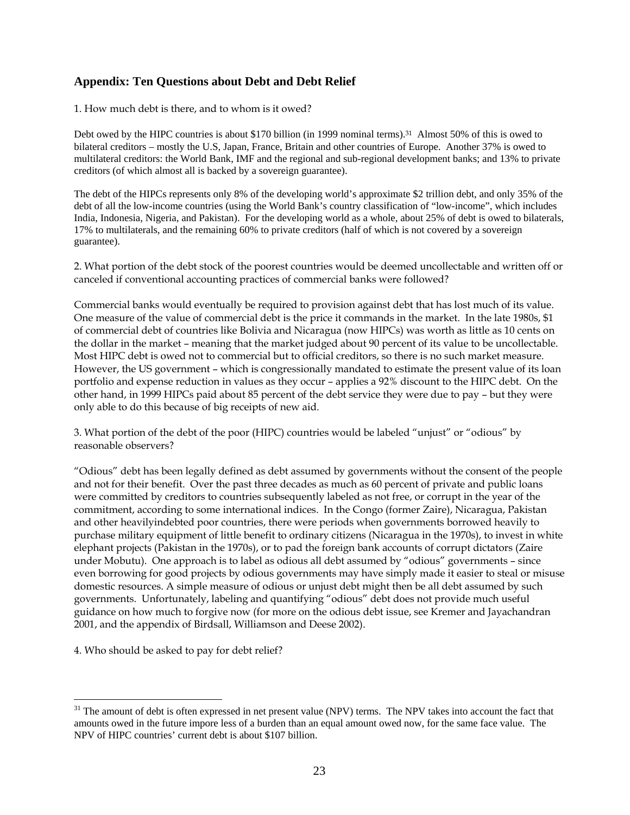## **Appendix: Ten Questions about Debt and Debt Relief**

1. How much debt is there, and to whom is it owed?

Debt owed by the HIPC countries is about \$170 billion (in 1999 nominal terms).<sup>[31](#page-22-0)</sup> Almost 50% of this is owed to bilateral creditors – mostly the U.S, Japan, France, Britain and other countries of Europe. Another 37% is owed to multilateral creditors: the World Bank, IMF and the regional and sub-regional development banks; and 13% to private creditors (of which almost all is backed by a sovereign guarantee).

The debt of the HIPCs represents only 8% of the developing world's approximate \$2 trillion debt, and only 35% of the debt of all the low-income countries (using the World Bank's country classification of "low-income", which includes India, Indonesia, Nigeria, and Pakistan). For the developing world as a whole, about 25% of debt is owed to bilaterals, 17% to multilaterals, and the remaining 60% to private creditors (half of which is not covered by a sovereign guarantee).

2. What portion of the debt stock of the poorest countries would be deemed uncollectable and written off or canceled if conventional accounting practices of commercial banks were followed?

Commercial banks would eventually be required to provision against debt that has lost much of its value. One measure of the value of commercial debt is the price it commands in the market. In the late 1980s, \$1 of commercial debt of countries like Bolivia and Nicaragua (now HIPCs) was worth as little as 10 cents on the dollar in the market – meaning that the market judged about 90 percent of its value to be uncollectable. Most HIPC debt is owed not to commercial but to official creditors, so there is no such market measure. However, the US government – which is congressionally mandated to estimate the present value of its loan portfolio and expense reduction in values as they occur – applies a 92% discount to the HIPC debt. On the other hand, in 1999 HIPCs paid about 85 percent of the debt service they were due to pay – but they were only able to do this because of big receipts of new aid.

3. What portion of the debt of the poor (HIPC) countries would be labeled "unjust" or "odious" by reasonable observers?

"Odious" debt has been legally defined as debt assumed by governments without the consent of the people and not for their benefit. Over the past three decades as much as 60 percent of private and public loans were committed by creditors to countries subsequently labeled as not free, or corrupt in the year of the commitment, according to some international indices. In the Congo (former Zaire), Nicaragua, Pakistan and other heavilyindebted poor countries, there were periods when governments borrowed heavily to purchase military equipment of little benefit to ordinary citizens (Nicaragua in the 1970s), to invest in white elephant projects (Pakistan in the 1970s), or to pad the foreign bank accounts of corrupt dictators (Zaire under Mobutu). One approach is to label as odious all debt assumed by "odious" governments – since even borrowing for good projects by odious governments may have simply made it easier to steal or misuse domestic resources. A simple measure of odious or unjust debt might then be all debt assumed by such governments. Unfortunately, labeling and quantifying "odious" debt does not provide much useful guidance on how much to forgive now (for more on the odious debt issue, see Kremer and Jayachandran 2001, and the appendix of Birdsall, Williamson and Deese 2002).

4. Who should be asked to pay for debt relief?

 $\overline{a}$ 

<span id="page-22-0"></span><sup>&</sup>lt;sup>31</sup> The amount of debt is often expressed in net present value (NPV) terms. The NPV takes into account the fact that amounts owed in the future impore less of a burden than an equal amount owed now, for the same face value. The NPV of HIPC countries' current debt is about \$107 billion.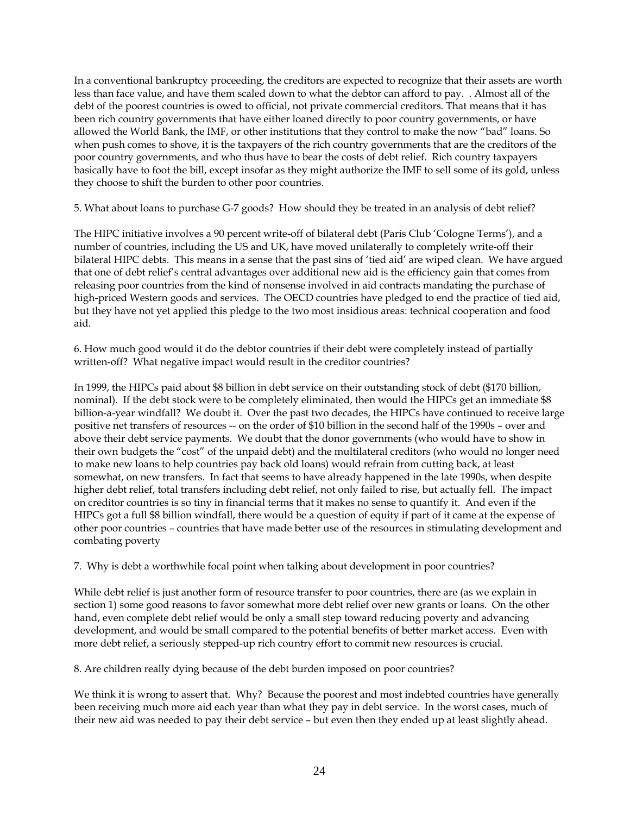In a conventional bankruptcy proceeding, the creditors are expected to recognize that their assets are worth less than face value, and have them scaled down to what the debtor can afford to pay. . Almost all of the debt of the poorest countries is owed to official, not private commercial creditors. That means that it has been rich country governments that have either loaned directly to poor country governments, or have allowed the World Bank, the IMF, or other institutions that they control to make the now "bad" loans. So when push comes to shove, it is the taxpayers of the rich country governments that are the creditors of the poor country governments, and who thus have to bear the costs of debt relief. Rich country taxpayers basically have to foot the bill, except insofar as they might authorize the IMF to sell some of its gold, unless they choose to shift the burden to other poor countries.

5. What about loans to purchase G-7 goods? How should they be treated in an analysis of debt relief?

The HIPC initiative involves a 90 percent write-off of bilateral debt (Paris Club 'Cologne Terms'), and a number of countries, including the US and UK, have moved unilaterally to completely write-off their bilateral HIPC debts. This means in a sense that the past sins of 'tied aid' are wiped clean. We have argued that one of debt relief's central advantages over additional new aid is the efficiency gain that comes from releasing poor countries from the kind of nonsense involved in aid contracts mandating the purchase of high-priced Western goods and services. The OECD countries have pledged to end the practice of tied aid, but they have not yet applied this pledge to the two most insidious areas: technical cooperation and food aid.

6. How much good would it do the debtor countries if their debt were completely instead of partially written-off? What negative impact would result in the creditor countries?

In 1999, the HIPCs paid about \$8 billion in debt service on their outstanding stock of debt (\$170 billion, nominal). If the debt stock were to be completely eliminated, then would the HIPCs get an immediate \$8 billion-a-year windfall? We doubt it. Over the past two decades, the HIPCs have continued to receive large positive net transfers of resources -- on the order of \$10 billion in the second half of the 1990s – over and above their debt service payments. We doubt that the donor governments (who would have to show in their own budgets the "cost" of the unpaid debt) and the multilateral creditors (who would no longer need to make new loans to help countries pay back old loans) would refrain from cutting back, at least somewhat, on new transfers. In fact that seems to have already happened in the late 1990s, when despite higher debt relief, total transfers including debt relief, not only failed to rise, but actually fell. The impact on creditor countries is so tiny in financial terms that it makes no sense to quantify it. And even if the HIPCs got a full \$8 billion windfall, there would be a question of equity if part of it came at the expense of other poor countries – countries that have made better use of the resources in stimulating development and combating poverty

7. Why is debt a worthwhile focal point when talking about development in poor countries?

While debt relief is just another form of resource transfer to poor countries, there are (as we explain in section 1) some good reasons to favor somewhat more debt relief over new grants or loans. On the other hand, even complete debt relief would be only a small step toward reducing poverty and advancing development, and would be small compared to the potential benefits of better market access. Even with more debt relief, a seriously stepped-up rich country effort to commit new resources is crucial.

8. Are children really dying because of the debt burden imposed on poor countries?

We think it is wrong to assert that. Why? Because the poorest and most indebted countries have generally been receiving much more aid each year than what they pay in debt service. In the worst cases, much of their new aid was needed to pay their debt service – but even then they ended up at least slightly ahead.